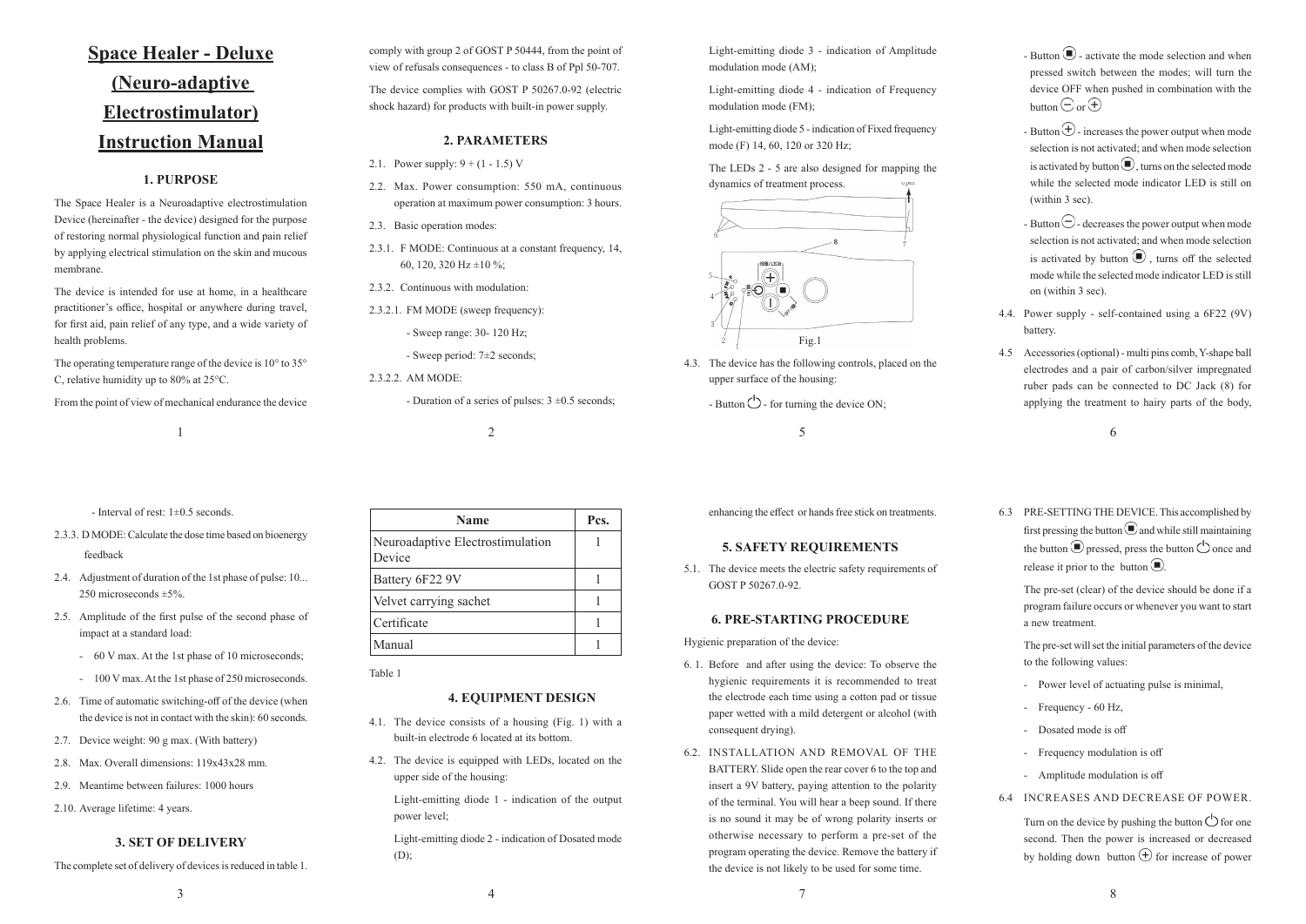| Name                                       | Pcs. |
|--------------------------------------------|------|
| Neuroadaptive Electrostimulation<br>Device |      |
| Battery 6F22 9V                            |      |
| Velvet carrying sachet                     |      |
| Certificate                                |      |
| Manual                                     |      |

# **Space Healer - Deluxe (Neuro-adaptive Electrostimulator) Instruction Manual**

# **1. PURPOSE**

The Space Healer is a Neuroadaptive electrostimulation Device (hereinafter - the device) designed for the purpose of restoring normal physiological function and pain relief by applying electrical stimulation on the skin and mucous membrane.

The operating temperature range of the device is 10° to 35° C, relative humidity up to 80% at 25°C.

The device is intended for use at home, in a healthcare practitioner's office, hospital or anywhere during travel, for first aid, pain relief of any type, and a wide variety of health problems.

- 2.1. Power supply:  $9 + (1 1.5)$  V
- 2.2. Max. Power consumption: 550 mA, continuous operation at maximum power consumption: 3 hours.
- 2.3. Basic operation modes:
- 2.3.1. F MODE: Continuous at a constant frequency, 14, 60, 120, 320 Hz  $\pm 10$  %;
- 2.3.2. Continuous with modulation:
- 2.3.2.1. FM MODE (sweep frequency):
	- Sweep range: 30‑ 120 Hz;

From the point of view of mechanical endurance the device

The device complies with GOST P 50267.0-92 (electric shock hazard) for products with built-in power supply.

## **2. PARAMETERS**

Light-emitting diode 1 - indication of the output power level;

Light-emitting diode 2 - indication of Dosated mode  $(D);$ 

Light-emitting diode 3 - indication of Amplitude modulation mode (AM);

Light-emitting diode 4 - indication of Frequency modulation mode (FM);

Light-emitting diode 5 - indication of Fixed frequency mode (F) 14, 60, 120 or 320 Hz;

- Sweep period: 7±2 seconds;

2.3.2.2. AM MODE:

- Duration of a series of pulses:  $3 \pm 0.5$  seconds;

- Interval of rest: 1±0.5 seconds.

- 2.3.3. D MODE: Calculate the dose time based on bioenergy feedback
- 2.4. Adjustment of duration of the 1st phase of pulse: 10... 250 microseconds ±5%.
- 2.5. Amplitude of the first pulse of the second phase of impact at a standard load:
	- 60 V max. At the 1st phase of 10 microseconds;
	- 100 V max. At the 1st phase of 250 microseconds.
- 2.6. Time of automatic switching-off of the device (when the device is not in contact with the skin): 60 seconds.
- 2.7. Device weight: 90 g max. (With battery)
- 2.8. Max. Overall dimensions: 119x43x28 mm.
- 2.9. Meantime between failures: 1000 hours
- 2.10. Average lifetime: 4 years.

# **3. SET OF DELIVERY**

The complete set of delivery of devices is reduced in table 1.

Table 1

## **4. EQUIPMENT DESIGN**

- Button  $\bigcirc$  activate the mode selection and when pressed switch between the modes; will turn the device OFF when pushed in combination with the button  $\ominus$  or  $\ominus$
- Button  $\bigoplus$  increases the power output when mode selection is not activated; and when mode selection is activated by button  $\bigcirc$ , turns on the selected mode while the selected mode indicator LED is still on (within 3 sec).
- Button  $\bigcirc$  decreases the power output when mode selection is not activated; and when mode selection is activated by button  $\bigcirc$ , turns off the selected mode while the selected mode indicator LED is still on (within 3 sec).
- 4.4. Power supply self-contained using a 6F22 (9V) battery.
- 4.5 Accessories (optional) multi pins comb, Y-shape ball electrodes and a pair of carbon/silver impregnated ruber pads can be connected to DC Jack (8) for applying the treatment to hairy parts of the body,

6.3 PRE-SETTING THE DEVICE. This accomplished by first pressing the button  $\bigcirc$  and while still maintaining the button  $\bigodot$  pressed, press the button  $\bigcirc$  once and release it prior to the button  $\bigcirc$ .

- 4.1. The device consists of a housing (Fig. 1) with a built-in electrode 6 located at its bottom.
- 4.2. The device is equipped with LEDs, located on the upper side of the housing:

The pre-set (clear) of the device should be done if a program failure occurs or whenever you want to start a new treatment.

- 4.3. The device has the following controls, placed on the upper surface of the housing:
	- Button  $\circlearrowleft$  for turning the device ON:

#### The LEDs 2 - 5 are also designed for mapping the dynamics of treatment process.

enhancing the effect or hands free stick on treatments.

# **5. SAFETY REQUIREMENTS**

5.1. The device meets the electric safety requirements of GOST P 50267.0‑92.

#### **6. PRE-STARTING PROCEDURE**

Hygienic preparation of the device:

- 6. 1. Before and after using the device: To observe the hygienic requirements it is recommended to treat the electrode each time using a cotton pad or tissue paper wetted with a mild detergent or alcohol (with consequent drying).
- 6.2. INSTALLATION AND REMOVAL OF THE BATTERY. Slide open the rear cover 6 to the top and insert a 9V battery, paying attention to the polarity of the terminal. You will hear a beep sound. If there is no sound it may be of wrong polarity inserts or otherwise necessary to perform a pre‑set of the program operating the device. Remove the battery if the device is not likely to be used for some time.

The pre-set will set the initial parameters of the device to the following values:

- Power level of actuating pulse is minimal,
- Frequency 60 Hz,
- Dosated mode is off
- Frequency modulation is off
- Amplitude modulation is off
- 6.4 INCREASES AND DECREASE OF POWER.

Turn on the device by pushing the button  $\bigcirc$  for one second. Then the power is increased or decreased by holding down button  $\bigoplus$  for increase of power